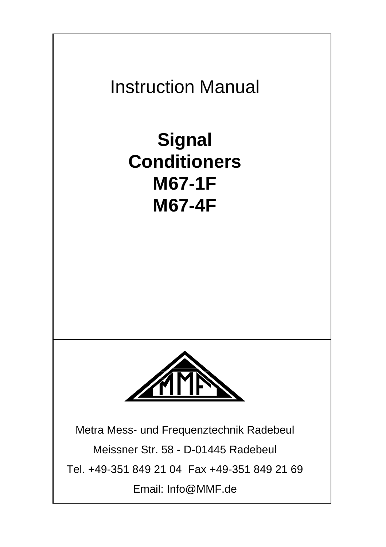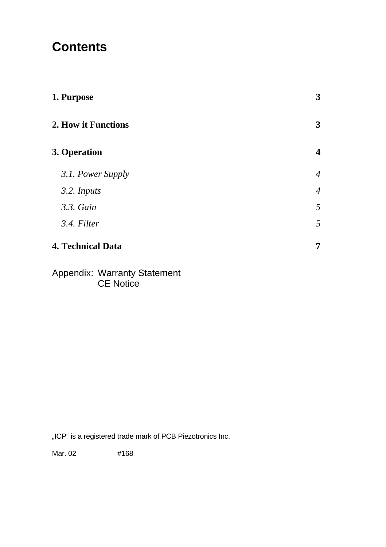# **Contents**

| 1. Purpose               | 3              |
|--------------------------|----------------|
| 2. How it Functions      | 3              |
| 3. Operation             | 4              |
| 3.1. Power Supply        | $\overline{4}$ |
| 3.2. Inputs              | $\overline{4}$ |
| 3.3. Gain                | 5              |
| 3.4. Filter              | 5              |
| <b>4. Technical Data</b> | 7              |

#### Appendix: Warranty Statement CE Notice

"ICP" is a registered trade mark of PCB Piezotronics Inc.

Mar. 02 #168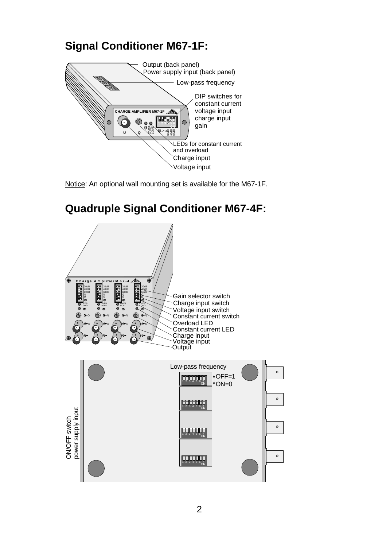#### **Signal Conditioner M67-1F:**





### **Quadruple Signal Conditioner M67-4F:**

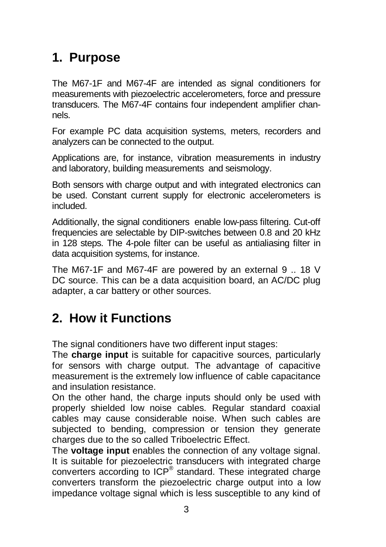## **1. Purpose**

The M67-1F and M67-4F are intended as signal conditioners for measurements with piezoelectric accelerometers, force and pressure transducers. The M67-4F contains four independent amplifier channels.

For example PC data acquisition systems, meters, recorders and analyzers can be connected to the output.

Applications are, for instance, vibration measurements in industry and laboratory, building measurements and seismology.

Both sensors with charge output and with integrated electronics can be used. Constant current supply for electronic accelerometers is included.

Additionally, the signal conditioners enable low-pass filtering. Cut-off frequencies are selectable by DIP-switches between 0.8 and 20 kHz in 128 steps. The 4-pole filter can be useful as antialiasing filter in data acquisition systems, for instance.

The M67-1F and M67-4F are powered by an external 9 .. 18 V DC source. This can be a data acquisition board, an AC/DC plug adapter, a car battery or other sources.

# **2. How it Functions**

The signal conditioners have two different input stages:

The **charge input** is suitable for capacitive sources, particularly for sensors with charge output. The advantage of capacitive measurement is the extremely low influence of cable capacitance and insulation resistance.

On the other hand, the charge inputs should only be used with properly shielded low noise cables. Regular standard coaxial cables may cause considerable noise. When such cables are subjected to bending, compression or tension they generate charges due to the so called Triboelectric Effect.

The **voltage input** enables the connection of any voltage signal. It is suitable for piezoelectric transducers with integrated charge converters according to ICP® standard. These integrated charge converters transform the piezoelectric charge output into a low impedance voltage signal which is less susceptible to any kind of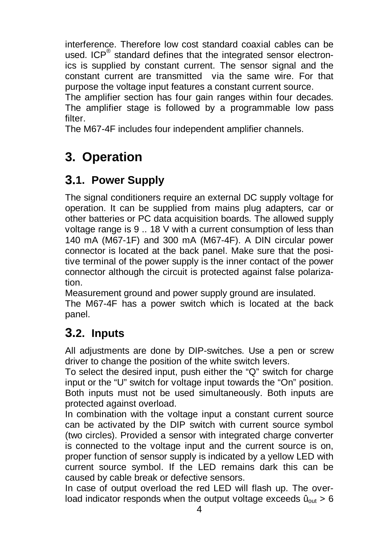interference. Therefore low cost standard coaxial cables can be used. ICP<sup>®</sup> standard defines that the integrated sensor electronics is supplied by constant current. The sensor signal and the constant current are transmitted via the same wire. For that purpose the voltage input features a constant current source.

The amplifier section has four gain ranges within four decades. The amplifier stage is followed by a programmable low pass filter.

The M67-4F includes four independent amplifier channels.

# **3. Operation**

### **3.1. Power Supply**

The signal conditioners require an external DC supply voltage for operation. It can be supplied from mains plug adapters, car or other batteries or PC data acquisition boards. The allowed supply voltage range is 9 .. 18 V with a current consumption of less than 140 mA (M67-1F) and 300 mA (M67-4F). A DIN circular power connector is located at the back panel. Make sure that the positive terminal of the power supply is the inner contact of the power connector although the circuit is protected against false polarization.

Measurement ground and power supply ground are insulated.

The M67-4F has a power switch which is located at the back panel.

#### **3.2. Inputs**

All adjustments are done by DIP-switches. Use a pen or screw driver to change the position of the white switch levers.

To select the desired input, push either the "Q" switch for charge input or the "U" switch for voltage input towards the "On" position. Both inputs must not be used simultaneously. Both inputs are protected against overload.

In combination with the voltage input a constant current source can be activated by the DIP switch with current source symbol (two circles). Provided a sensor with integrated charge converter is connected to the voltage input and the current source is on, proper function of sensor supply is indicated by a yellow LED with current source symbol. If the LED remains dark this can be caused by cable break or defective sensors.

In case of output overload the red LED will flash up. The overload indicator responds when the output voltage exceeds  $\hat{u}_{out} > 6$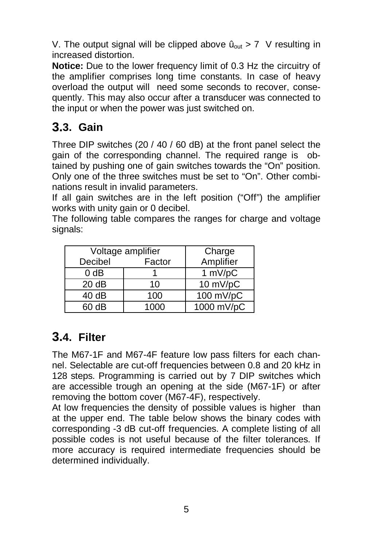V. The output signal will be clipped above  $\hat{u}_{out} > 7$  V resulting in increased distortion.

**Notice:** Due to the lower frequency limit of 0.3 Hz the circuitry of the amplifier comprises long time constants. In case of heavy overload the output will need some seconds to recover, consequently. This may also occur after a transducer was connected to the input or when the power was just switched on.

#### **3.3. Gain**

Three DIP switches (20 / 40 / 60 dB) at the front panel select the gain of the corresponding channel. The required range is obtained by pushing one of gain switches towards the "On" position. Only one of the three switches must be set to "On". Other combinations result in invalid parameters.

If all gain switches are in the left position ("Off") the amplifier works with unity gain or 0 decibel.

The following table compares the ranges for charge and voltage signals:

| Voltage amplifier | Charge |            |
|-------------------|--------|------------|
| Decibel           | Factor | Amplifier  |
| 0 dB              |        | 1 mV/pC    |
| 20 dB             | 10     | 10 mV/pC   |
| 40 dB             | 100    | 100 mV/pC  |
| 60 dB             | 1000   | 1000 mV/pC |

### **3.4. Filter**

The M67-1F and M67-4F feature low pass filters for each channel. Selectable are cut-off frequencies between 0.8 and 20 kHz in 128 steps. Programming is carried out by 7 DIP switches which are accessible trough an opening at the side (M67-1F) or after removing the bottom cover (M67-4F), respectively.

At low frequencies the density of possible values is higher than at the upper end. The table below shows the binary codes with corresponding -3 dB cut-off frequencies. A complete listing of all possible codes is not useful because of the filter tolerances. If more accuracy is required intermediate frequencies should be determined individually.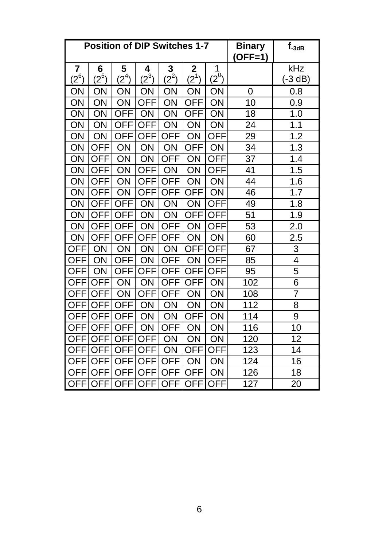| <b>Position of DIP Switches 1-7</b> |              |              |              |              | <b>Binary</b><br>$(OFF=1)$ | $f_{-3dB}$      |     |                  |
|-------------------------------------|--------------|--------------|--------------|--------------|----------------------------|-----------------|-----|------------------|
| 7<br>$(2^6)$                        | 6<br>$2^{5}$ | 5<br>$(2^4)$ | 4<br>$(2^3)$ | 3<br>$(2^2)$ | 2<br>$(2^1)$               | 1<br>$(2^0)$    |     | kHz<br>$(-3 dB)$ |
| ON                                  | ON           | ON           | ON           | ON           | ON                         | ON              | 0   | 0.8              |
| ON                                  | ON           | ON           | <b>OFF</b>   | ON           | <b>OFF</b>                 | ON              | 10  | 0.9              |
| ON                                  | ON           | <b>OFF</b>   | ON           | ON           | <b>OFF</b>                 | ON              | 18  | 1.0              |
| ON                                  | ON           | OFF          | <b>OFF</b>   | ON           | ON                         | ON              | 24  | 1.1              |
| ON                                  | ON           | <b>OFF</b>   | <b>OFF</b>   | <b>OFF</b>   | ON                         | <b>OFF</b>      | 29  | 1.2              |
| ON                                  | <b>OFF</b>   | ON           | ON           | ON           | <b>OFF</b>                 | ON              | 34  | 1.3              |
| ON                                  | <b>OFF</b>   | ON           | ON           | <b>OFF</b>   | ON                         | <b>OFF</b>      | 37  | 1.4              |
| ON                                  | <b>OFF</b>   | ON           | <b>OFF</b>   | ON           | ON                         | <b>OFF</b>      | 41  | 1.5              |
| ON                                  | <b>OFF</b>   | ON           | <b>OFF</b>   | <b>OFF</b>   | ON                         | ON              | 44  | 1.6              |
| ON                                  | <b>OFF</b>   | ON           | <b>OFF</b>   | <b>OFF</b>   | <b>OFF</b>                 | $\overline{ON}$ | 46  | $\overline{1.7}$ |
| ON                                  | <b>OFF</b>   | <b>OFF</b>   | ON           | ON           | ON                         | <b>OFF</b>      | 49  | 1.8              |
| ON                                  | <b>OFF</b>   | <b>OFF</b>   | ON           | ON           | <b>OFF</b>                 | <b>OFF</b>      | 51  | 1.9              |
| ON                                  | <b>OFF</b>   | <b>OFF</b>   | ON           | OFF          | ON                         | <b>OFF</b>      | 53  | 2.0              |
| ΟN                                  | <b>OFF</b>   | OFF          | <b>OFF</b>   | <b>OFF</b>   | ON                         | ON              | 60  | 2.5              |
| <b>OFF</b>                          | ON           | ON           | ON           | ON           | <b>OFF</b>                 | <b>OFF</b>      | 67  | 3                |
| <b>OFF</b>                          | ON           | <b>OFF</b>   | ON           | <b>OFF</b>   | ON                         | <b>OFF</b>      | 85  | $\overline{4}$   |
| <b>OFF</b>                          | ON           | <b>OFF</b>   | <b>OFF</b>   | <b>OFF</b>   | <b>OFF</b>                 | <b>OFF</b>      | 95  | 5                |
| OFF                                 | <b>OFF</b>   | ON           | ON           | <b>OFF</b>   | <b>OFF</b>                 | ON              | 102 | 6                |
| <b>OFF</b>                          | <b>OFF</b>   | ΟN           | <b>OFF</b>   | OFF          | ON                         | ON              | 108 | $\overline{7}$   |
| OFF                                 | <b>OFF</b>   | <b>OFF</b>   | ON           | ON           | ON                         | ON              | 112 | 8                |
| <b>OFF</b>                          | <b>OFF</b>   | <b>OFF</b>   | ON           | ON           | <b>OFF</b>                 | ON              | 114 | 9                |
| <b>OFF</b>                          | <b>OFF</b>   | <b>OFF</b>   | ON           | <b>OFF</b>   | ON                         | ON              | 116 | 10               |
| OFF                                 | <b>OFF</b>   | <b>OFF</b>   | <b>OFF</b>   | ON           | ON                         | ON              | 120 | 12               |
| OFF                                 | OFF          | <b>OFF</b>   | OFF          | ON           | <b>OFF</b>                 | <b>OFF</b>      | 123 | 14               |
| <b>OFF</b>                          | <b>OFF</b>   | <b>OFF</b>   | <b>OFF</b>   | <b>OFF</b>   | ON                         | ON              | 124 | 16               |
| <b>OFF</b>                          | <b>OFF</b>   | OFF          | <b>OFF</b>   | <b>OFF</b>   | <b>OFF</b>                 | ON              | 126 | 18               |
| <b>OFF</b>                          | <b>OFF</b>   | <b>OFF</b>   | <b>OFF</b>   | <b>OFF</b>   | <b>OFF</b>                 | <b>OFF</b>      | 127 | 20               |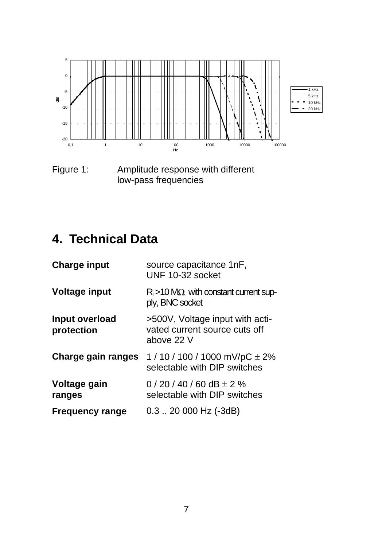

Figure 1: Amplitude response with different low-pass frequencies

# **4. Technical Data**

| <b>Charge input</b>          | source capacitance 1nF,<br>UNF 10-32 socket                                    |
|------------------------------|--------------------------------------------------------------------------------|
| <b>Voltage input</b>         | $R_i$ > 10 M $\Omega$ with constant current sup-<br>ply, BNC socket            |
| Input overload<br>protection | >500V, Voltage input with acti-<br>vated current source cuts off<br>above 22 V |
| Charge gain ranges           | 1 / 10 / 100 / 1000 mV/pC $\pm$ 2%<br>selectable with DIP switches             |
| Voltage gain<br>ranges       | 0 / 20 / 40 / 60 dB $\pm$ 2 %<br>selectable with DIP switches                  |
| <b>Frequency range</b>       | $0.3$ $\ldots$ 20 000 Hz (-3dB)                                                |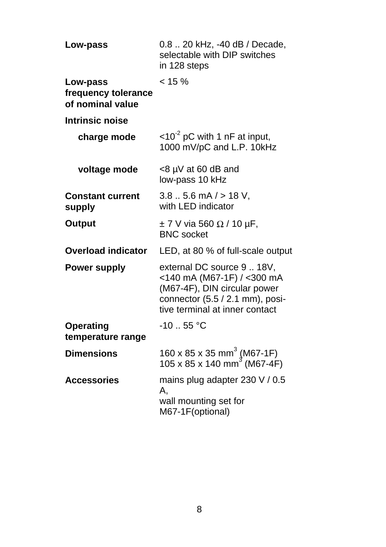| Low-pass                                            | 0.8  20 kHz, -40 dB / Decade,<br>selectable with DIP switches<br>in 128 steps                                                                                 |
|-----------------------------------------------------|---------------------------------------------------------------------------------------------------------------------------------------------------------------|
| Low-pass<br>frequency tolerance<br>of nominal value | $< 15 \%$                                                                                                                                                     |
| <b>Intrinsic noise</b>                              |                                                                                                                                                               |
| charge mode                                         | $<$ 10 <sup>-2</sup> pC with 1 nF at input,<br>1000 mV/pC and L.P. 10kHz                                                                                      |
| voltage mode                                        | $<$ 8 µV at 60 dB and<br>low-pass 10 kHz                                                                                                                      |
| <b>Constant current</b><br>supply                   | $3.85.6$ mA $/$ > 18 V,<br>with LED indicator                                                                                                                 |
| Output                                              | $\pm$ 7 V via 560 $\Omega$ / 10 µF,<br><b>BNC</b> socket                                                                                                      |
| <b>Overload indicator</b>                           | LED, at 80 % of full-scale output                                                                                                                             |
| <b>Power supply</b>                                 | external DC source 9  18V,<br><140 mA (M67-1F) / <300 mA<br>(M67-4F), DIN circular power<br>connector (5.5 / 2.1 mm), posi-<br>tive terminal at inner contact |
| <b>Operating</b><br>temperature range               | $-10.55$ °C                                                                                                                                                   |
| <b>Dimensions</b>                                   | 160 x 85 x 35 mm <sup>3</sup> (M67-1F)<br>105 x 85 x 140 mm <sup>3</sup> (M67-4F)                                                                             |
| <b>Accessories</b>                                  | mains plug adapter 230 V / 0.5<br>А.<br>wall mounting set for<br>M67-1F(optional)                                                                             |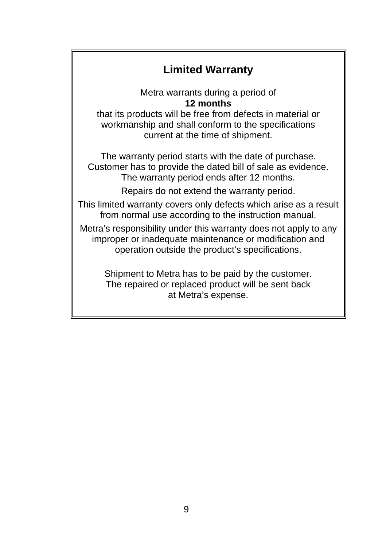#### **Limited Warranty**

Metra warrants during a period of **12 months**

that its products will be free from defects in material or workmanship and shall conform to the specifications current at the time of shipment.

The warranty period starts with the date of purchase. Customer has to provide the dated bill of sale as evidence. The warranty period ends after 12 months.

Repairs do not extend the warranty period.

This limited warranty covers only defects which arise as a result from normal use according to the instruction manual.

Metra's responsibility under this warranty does not apply to any improper or inadequate maintenance or modification and operation outside the product's specifications.

> Shipment to Metra has to be paid by the customer. The repaired or replaced product will be sent back at Metra's expense.